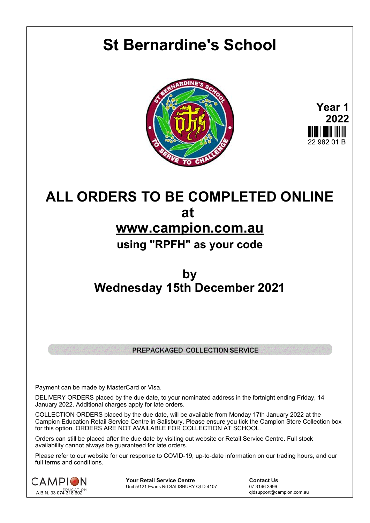# **St Bernardine's School**





## **ALL ORDERS TO BE COMPLETED ONLINE at www.campion.com.au using "RPFH" as your code**

### **by Wednesday 15th December 2021**

#### PREPACKAGED COLLECTION SERVICE

Payment can be made by MasterCard or Visa.

DELIVERY ORDERS placed by the due date, to your nominated address in the fortnight ending Friday, 14 January 2022. Additional charges apply for late orders.

COLLECTION ORDERS placed by the due date, will be available from Monday 17th January 2022 at the Campion Education Retail Service Centre in Salisbury. Please ensure you tick the Campion Store Collection box for this option. ORDERS ARE NOT AVAILABLE FOR COLLECTION AT SCHOOL.

Orders can still be placed after the due date by visiting out website or Retail Service Centre. Full stock availability cannot always be guaranteed for late orders.

Please refer to our website for our response to COVID-19, up-to-date information on our trading hours, and our full terms and conditions.



**Your Retail Service Centre Contact Us**<br>
Unit 5/121 Evans Rd SALISBURY QLD 4107

07 3146 3999 Unit 5/121 Evans Rd SALISBURY QLD 4107

qldsupport@campion.com.au